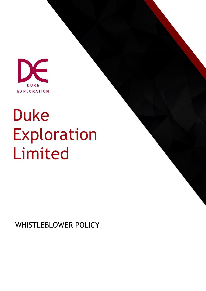

# Duke Exploration Limited

WHISTLEBLOWER POLICY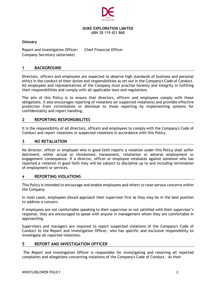

# **DUKE EXPLORATION LIMITED**

ABN 28 119 421 868

#### **Glossary**

Report and Investigation Officer: Chief Financial Officer Company Secretary (alternate)

## **1 BACKGROUND**

Directors, officers and employees are expected to observe high standards of business and personal ethics in the conduct of their duties and responsibilities as set out in the Company's Code of Conduct. All employees and representatives of the Company must practise honesty and integrity in fulfilling their responsibilities and comply with all applicable laws and regulations.

The aim of this Policy is to ensure that directors, officers and employees comply with these obligations. It also encourages reporting of violations (or suspected violations) and provides effective protection from victimisation or dismissal to those reporting by implementing systems for confidentiality and report handling.

#### **2 REPORTING RESPONSIBILITES**

It is the responsibility of all directors, officers and employees to comply with the Company's Code of Conduct and report violations or suspected violations in accordance with this Policy.

#### **3 NO RETALIATION**

No director, officer or employee who in good faith reports a violation under this Policy shall suffer detriment, either actual or threatened, harassment, retaliation or adverse employment or engagement consequence. If a director, officer or employee retaliates against someone who has reported a violation in good faith they will be subject to discipline up to and including termination of employment or services.

## **4 REPORTING VIOLATIONS**

This Policy is intended to encourage and enable employees and others to raise serious concerns within the Company.

In most cases, employees should approach their supervisor first as they may be in the best position to address a concern.

If employees are not comfortable speaking to their supervisor or not satisfied with their supervisor's response, they are encouraged to speak with anyone in management whom they are comfortable in approaching.

Supervisors and managers are required to report suspected violations of the Company's Code of Conduct to the Report and Investigation Officer, who has specific and exclusive responsibility to investigate all reported violations.

#### **5 REPORT AND INVESTIGATION OFFICER**

The Report and Investigation Officer is responsible for investigating and resolving all reported complaints and allegations concerning violations of the Company's Code of Conduct. At their